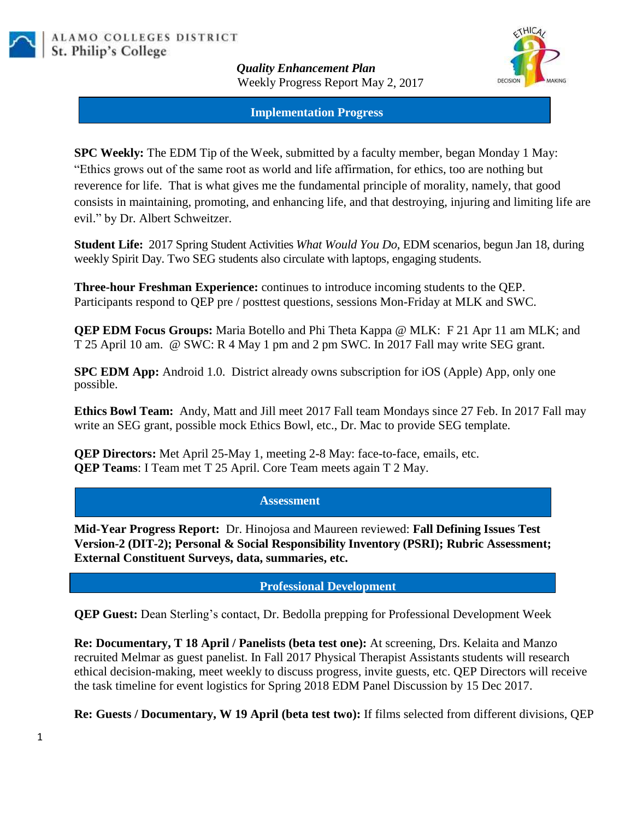

*Quality Enhancement Plan* Weekly Progress Report May 2, 2017



#### **Implementation Progress**

**SPC Weekly:** The EDM Tip of the Week, submitted by a faculty member, began Monday 1 May: "Ethics grows out of the same root as world and life affirmation, for ethics, too are nothing but reverence for life. That is what gives me the fundamental principle of morality, namely, that good consists in maintaining, promoting, and enhancing life, and that destroying, injuring and limiting life are evil." by Dr. Albert Schweitzer.

**Student Life:** 2017 Spring Student Activities *What Would You Do*, EDM scenarios, begun Jan 18, during weekly Spirit Day. Two SEG students also circulate with laptops, engaging students.

**Three-hour Freshman Experience:** continues to introduce incoming students to the QEP. Participants respond to QEP pre / posttest questions, sessions Mon-Friday at MLK and SWC.

**QEP EDM Focus Groups:** Maria Botello and Phi Theta Kappa @ MLK: F 21 Apr 11 am MLK; and T 25 April 10 am. @ SWC: R 4 May 1 pm and 2 pm SWC. In 2017 Fall may write SEG grant.

**SPC EDM App:** Android 1.0. District already owns subscription for iOS (Apple) App, only one possible.

**Ethics Bowl Team:** Andy, Matt and Jill meet 2017 Fall team Mondays since 27 Feb. In 2017 Fall may write an SEG grant, possible mock Ethics Bowl, etc., Dr. Mac to provide SEG template.

**QEP Directors:** Met April 25-May 1, meeting 2-8 May: face-to-face, emails, etc. **QEP Teams**: I Team met T 25 April. Core Team meets again T 2 May.

#### **Assessment**

**Mid-Year Progress Report:** Dr. Hinojosa and Maureen reviewed: **Fall Defining Issues Test Version-2 (DIT-2); Personal & Social Responsibility Inventory (PSRI); Rubric Assessment; External Constituent Surveys, data, summaries, etc.**

**Professional Development**

**QEP Guest:** Dean Sterling's contact, Dr. Bedolla prepping for Professional Development Week

**Re: Documentary, T 18 April / Panelists (beta test one):** At screening, Drs. Kelaita and Manzo recruited Melmar as guest panelist. In Fall 2017 Physical Therapist Assistants students will research ethical decision-making, meet weekly to discuss progress, invite guests, etc. QEP Directors will receive the task timeline for event logistics for Spring 2018 EDM Panel Discussion by 15 Dec 2017.

**Re: Guests / Documentary, W 19 April (beta test two):** If films selected from different divisions, QEP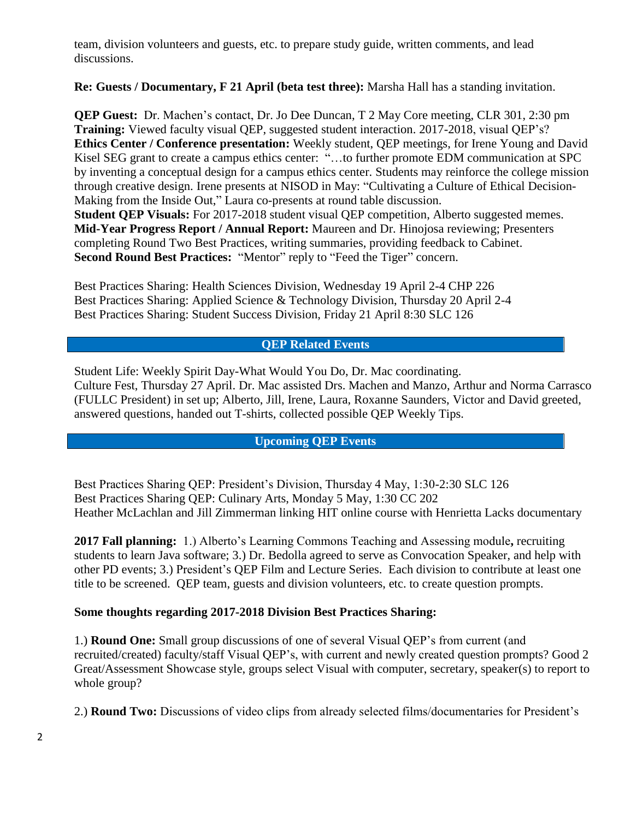team, division volunteers and guests, etc. to prepare study guide, written comments, and lead discussions.

**Re: Guests / Documentary, F 21 April (beta test three):** Marsha Hall has a standing invitation.

**QEP Guest:** Dr. Machen's contact, Dr. Jo Dee Duncan, T 2 May Core meeting, CLR 301, 2:30 pm **Training:** Viewed faculty visual QEP, suggested student interaction. 2017-2018, visual QEP's? **Ethics Center / Conference presentation:** Weekly student, QEP meetings, for Irene Young and David Kisel SEG grant to create a campus ethics center: "…to further promote EDM communication at SPC by inventing a conceptual design for a campus ethics center. Students may reinforce the college mission through creative design. Irene presents at NISOD in May: "Cultivating a Culture of Ethical Decision-Making from the Inside Out," Laura co-presents at round table discussion. **Student QEP Visuals:** For 2017-2018 student visual QEP competition, Alberto suggested memes. **Mid-Year Progress Report / Annual Report:** Maureen and Dr. Hinojosa reviewing; Presenters completing Round Two Best Practices, writing summaries, providing feedback to Cabinet. **Second Round Best Practices:** "Mentor" reply to "Feed the Tiger" concern.

Best Practices Sharing: Health Sciences Division, Wednesday 19 April 2-4 CHP 226 Best Practices Sharing: Applied Science & Technology Division, Thursday 20 April 2-4 Best Practices Sharing: Student Success Division, Friday 21 April 8:30 SLC 126

# **QEP Related Events**

Student Life: Weekly Spirit Day-What Would You Do, Dr. Mac coordinating. Culture Fest, Thursday 27 April. Dr. Mac assisted Drs. Machen and Manzo, Arthur and Norma Carrasco (FULLC President) in set up; Alberto, Jill, Irene, Laura, Roxanne Saunders, Victor and David greeted, answered questions, handed out T-shirts, collected possible QEP Weekly Tips.

# **Upcoming QEP Events**

Best Practices Sharing QEP: President's Division, Thursday 4 May, 1:30-2:30 SLC 126 Best Practices Sharing QEP: Culinary Arts, Monday 5 May, 1:30 CC 202 Heather McLachlan and Jill Zimmerman linking HIT online course with Henrietta Lacks documentary

**2017 Fall planning:** 1.) Alberto's Learning Commons Teaching and Assessing module**,** recruiting students to learn Java software; 3.) Dr. Bedolla agreed to serve as Convocation Speaker, and help with other PD events; 3.) President's QEP Film and Lecture Series. Each division to contribute at least one title to be screened. QEP team, guests and division volunteers, etc. to create question prompts.

### **Some thoughts regarding 2017-2018 Division Best Practices Sharing:**

1.) **Round One:** Small group discussions of one of several Visual QEP's from current (and recruited/created) faculty/staff Visual QEP's, with current and newly created question prompts? Good 2 Great/Assessment Showcase style, groups select Visual with computer, secretary, speaker(s) to report to whole group?

2.) **Round Two:** Discussions of video clips from already selected films/documentaries for President's